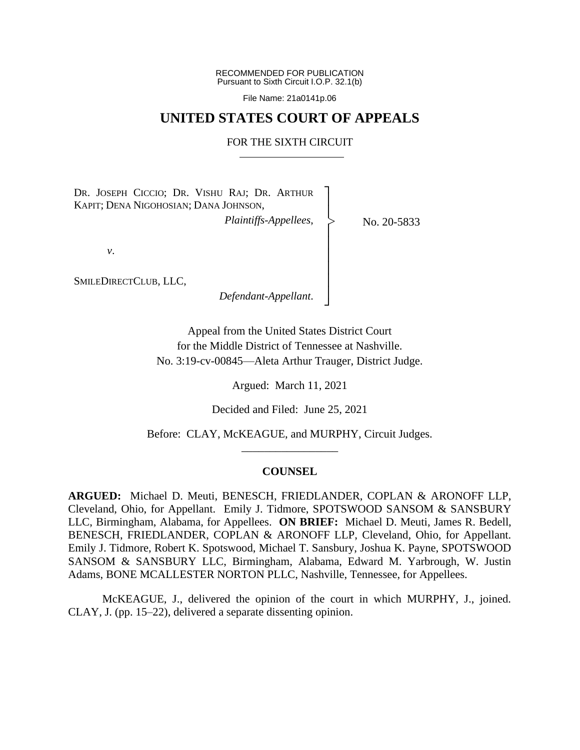RECOMMENDED FOR PUBLICATION Pursuant to Sixth Circuit I.O.P. 32.1(b)

File Name: 21a0141p.06

## **UNITED STATES COURT OF APPEALS**

### FOR THE SIXTH CIRCUIT

┐ │ │ │ │ │ │ │ │ ┘

|<br>|<br>|

DR. JOSEPH CICCIO; DR. VISHU RAJ; DR. ARTHUR KAPIT; DENA NIGOHOSIAN; DANA JOHNSON,

*Plaintiffs-Appellees*,

No. 20-5833

*v*.

SMILEDIRECTCLUB, LLC,

*Defendant-Appellant*.

Appeal from the United States District Court for the Middle District of Tennessee at Nashville. No. 3:19-cv-00845—Aleta Arthur Trauger, District Judge.

Argued: March 11, 2021

Decided and Filed: June 25, 2021

Before: CLAY, McKEAGUE, and MURPHY, Circuit Judges. \_\_\_\_\_\_\_\_\_\_\_\_\_\_\_\_\_

## **COUNSEL**

**ARGUED:** Michael D. Meuti, BENESCH, FRIEDLANDER, COPLAN & ARONOFF LLP, Cleveland, Ohio, for Appellant. Emily J. Tidmore, SPOTSWOOD SANSOM & SANSBURY LLC, Birmingham, Alabama, for Appellees. **ON BRIEF:** Michael D. Meuti, James R. Bedell, BENESCH, FRIEDLANDER, COPLAN & ARONOFF LLP, Cleveland, Ohio, for Appellant. Emily J. Tidmore, Robert K. Spotswood, Michael T. Sansbury, Joshua K. Payne, SPOTSWOOD SANSOM & SANSBURY LLC, Birmingham, Alabama, Edward M. Yarbrough, W. Justin Adams, BONE MCALLESTER NORTON PLLC, Nashville, Tennessee, for Appellees.

McKEAGUE, J., delivered the opinion of the court in which MURPHY, J., joined. CLAY, J. (pp. 15–22), delivered a separate dissenting opinion.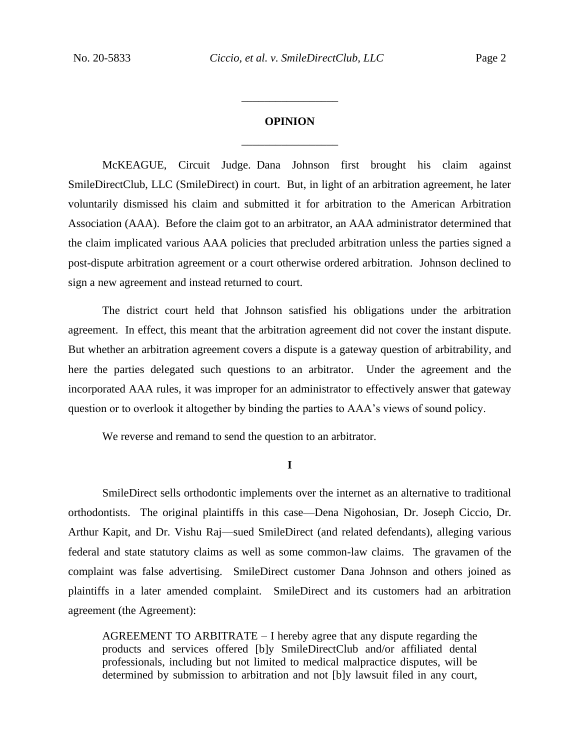# **OPINION** \_\_\_\_\_\_\_\_\_\_\_\_\_\_\_\_\_

\_\_\_\_\_\_\_\_\_\_\_\_\_\_\_\_\_

McKEAGUE, Circuit Judge. Dana Johnson first brought his claim against SmileDirectClub, LLC (SmileDirect) in court. But, in light of an arbitration agreement, he later voluntarily dismissed his claim and submitted it for arbitration to the American Arbitration Association (AAA). Before the claim got to an arbitrator, an AAA administrator determined that the claim implicated various AAA policies that precluded arbitration unless the parties signed a post-dispute arbitration agreement or a court otherwise ordered arbitration. Johnson declined to sign a new agreement and instead returned to court.

The district court held that Johnson satisfied his obligations under the arbitration agreement. In effect, this meant that the arbitration agreement did not cover the instant dispute. But whether an arbitration agreement covers a dispute is a gateway question of arbitrability, and here the parties delegated such questions to an arbitrator. Under the agreement and the incorporated AAA rules, it was improper for an administrator to effectively answer that gateway question or to overlook it altogether by binding the parties to AAA's views of sound policy.

We reverse and remand to send the question to an arbitrator.

**I**

SmileDirect sells orthodontic implements over the internet as an alternative to traditional orthodontists.The original plaintiffs in this case—Dena Nigohosian, Dr. Joseph Ciccio, Dr. Arthur Kapit, and Dr. Vishu Raj—sued SmileDirect (and related defendants), alleging various federal and state statutory claims as well as some common-law claims.The gravamen of the complaint was false advertising. SmileDirect customer Dana Johnson and others joined as plaintiffs in a later amended complaint. SmileDirect and its customers had an arbitration agreement (the Agreement):

AGREEMENT TO ARBITRATE – I hereby agree that any dispute regarding the products and services offered [b]y SmileDirectClub and/or affiliated dental professionals, including but not limited to medical malpractice disputes, will be determined by submission to arbitration and not [b]y lawsuit filed in any court,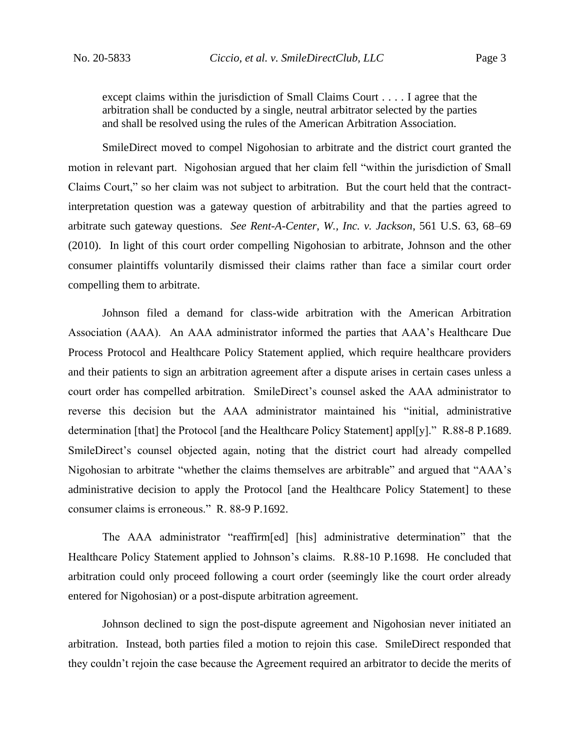except claims within the jurisdiction of Small Claims Court . . . . I agree that the arbitration shall be conducted by a single, neutral arbitrator selected by the parties and shall be resolved using the rules of the American Arbitration Association.

SmileDirect moved to compel Nigohosian to arbitrate and the district court granted the motion in relevant part. Nigohosian argued that her claim fell "within the jurisdiction of Small Claims Court," so her claim was not subject to arbitration. But the court held that the contractinterpretation question was a gateway question of arbitrability and that the parties agreed to arbitrate such gateway questions. *See Rent-A-Center, W., Inc. v. Jackson*, 561 U.S. 63, 68–69 (2010). In light of this court order compelling Nigohosian to arbitrate, Johnson and the other consumer plaintiffs voluntarily dismissed their claims rather than face a similar court order compelling them to arbitrate.

Johnson filed a demand for class-wide arbitration with the American Arbitration Association (AAA). An AAA administrator informed the parties that AAA's Healthcare Due Process Protocol and Healthcare Policy Statement applied, which require healthcare providers and their patients to sign an arbitration agreement after a dispute arises in certain cases unless a court order has compelled arbitration. SmileDirect's counsel asked the AAA administrator to reverse this decision but the AAA administrator maintained his "initial, administrative determination [that] the Protocol [and the Healthcare Policy Statement] appl[y]." R.88-8 P.1689. SmileDirect's counsel objected again, noting that the district court had already compelled Nigohosian to arbitrate "whether the claims themselves are arbitrable" and argued that "AAA's administrative decision to apply the Protocol [and the Healthcare Policy Statement] to these consumer claims is erroneous." R. 88-9 P.1692.

The AAA administrator "reaffirm[ed] [his] administrative determination" that the Healthcare Policy Statement applied to Johnson's claims. R.88-10 P.1698. He concluded that arbitration could only proceed following a court order (seemingly like the court order already entered for Nigohosian) or a post-dispute arbitration agreement.

Johnson declined to sign the post-dispute agreement and Nigohosian never initiated an arbitration. Instead, both parties filed a motion to rejoin this case. SmileDirect responded that they couldn't rejoin the case because the Agreement required an arbitrator to decide the merits of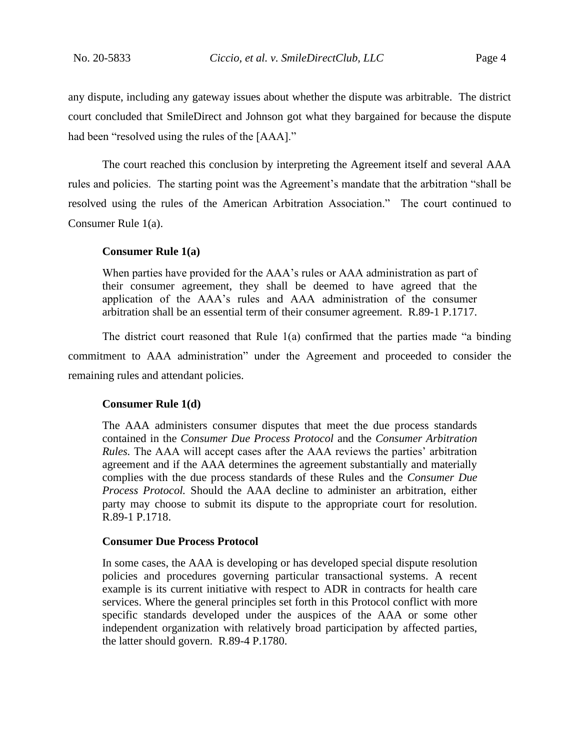any dispute, including any gateway issues about whether the dispute was arbitrable. The district court concluded that SmileDirect and Johnson got what they bargained for because the dispute had been "resolved using the rules of the [AAA]."

The court reached this conclusion by interpreting the Agreement itself and several AAA rules and policies. The starting point was the Agreement's mandate that the arbitration "shall be resolved using the rules of the American Arbitration Association." The court continued to Consumer Rule 1(a).

### **Consumer Rule 1(a)**

When parties have provided for the AAA's rules or AAA administration as part of their consumer agreement, they shall be deemed to have agreed that the application of the AAA's rules and AAA administration of the consumer arbitration shall be an essential term of their consumer agreement. R.89-1 P.1717.

The district court reasoned that Rule 1(a) confirmed that the parties made "a binding commitment to AAA administration" under the Agreement and proceeded to consider the remaining rules and attendant policies.

## **Consumer Rule 1(d)**

The AAA administers consumer disputes that meet the due process standards contained in the *Consumer Due Process Protocol* and the *Consumer Arbitration Rules.* The AAA will accept cases after the AAA reviews the parties' arbitration agreement and if the AAA determines the agreement substantially and materially complies with the due process standards of these Rules and the *Consumer Due Process Protocol.* Should the AAA decline to administer an arbitration, either party may choose to submit its dispute to the appropriate court for resolution. R.89-1 P.1718.

## **Consumer Due Process Protocol**

In some cases, the AAA is developing or has developed special dispute resolution policies and procedures governing particular transactional systems. A recent example is its current initiative with respect to ADR in contracts for health care services. Where the general principles set forth in this Protocol conflict with more specific standards developed under the auspices of the AAA or some other independent organization with relatively broad participation by affected parties, the latter should govern. R.89-4 P.1780.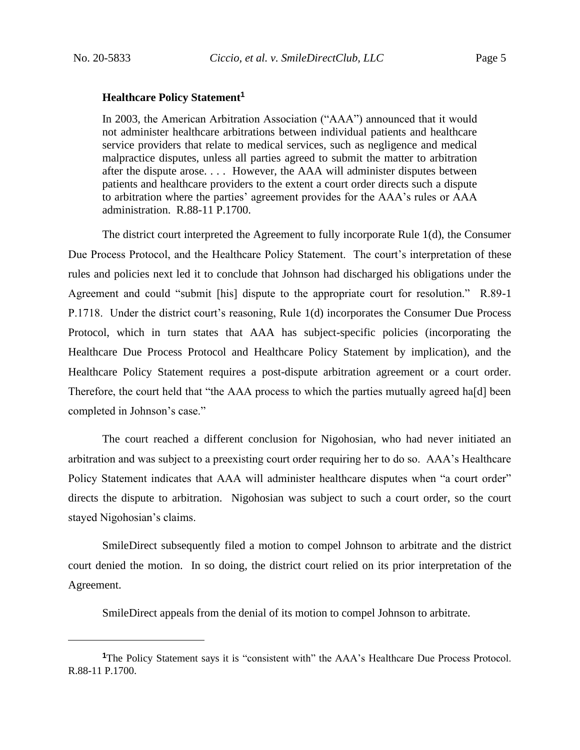#### **Healthcare Policy Statement<sup>1</sup>**

In 2003, the American Arbitration Association ("AAA") announced that it would not administer healthcare arbitrations between individual patients and healthcare service providers that relate to medical services, such as negligence and medical malpractice disputes, unless all parties agreed to submit the matter to arbitration after the dispute arose. . . . However, the AAA will administer disputes between patients and healthcare providers to the extent a court order directs such a dispute to arbitration where the parties' agreement provides for the AAA's rules or AAA administration. R.88-11 P.1700.

The district court interpreted the Agreement to fully incorporate Rule 1(d), the Consumer Due Process Protocol, and the Healthcare Policy Statement. The court's interpretation of these rules and policies next led it to conclude that Johnson had discharged his obligations under the Agreement and could "submit [his] dispute to the appropriate court for resolution." R.89-1 P.1718. Under the district court's reasoning, Rule 1(d) incorporates the Consumer Due Process Protocol, which in turn states that AAA has subject-specific policies (incorporating the Healthcare Due Process Protocol and Healthcare Policy Statement by implication), and the Healthcare Policy Statement requires a post-dispute arbitration agreement or a court order. Therefore, the court held that "the AAA process to which the parties mutually agreed ha[d] been completed in Johnson's case."

The court reached a different conclusion for Nigohosian, who had never initiated an arbitration and was subject to a preexisting court order requiring her to do so. AAA's Healthcare Policy Statement indicates that AAA will administer healthcare disputes when "a court order" directs the dispute to arbitration. Nigohosian was subject to such a court order, so the court stayed Nigohosian's claims.

SmileDirect subsequently filed a motion to compel Johnson to arbitrate and the district court denied the motion.In so doing, the district court relied on its prior interpretation of the Agreement.

SmileDirect appeals from the denial of its motion to compel Johnson to arbitrate.

<sup>&</sup>lt;sup>1</sup>The Policy Statement says it is "consistent with" the AAA's Healthcare Due Process Protocol. R.88-11 P.1700.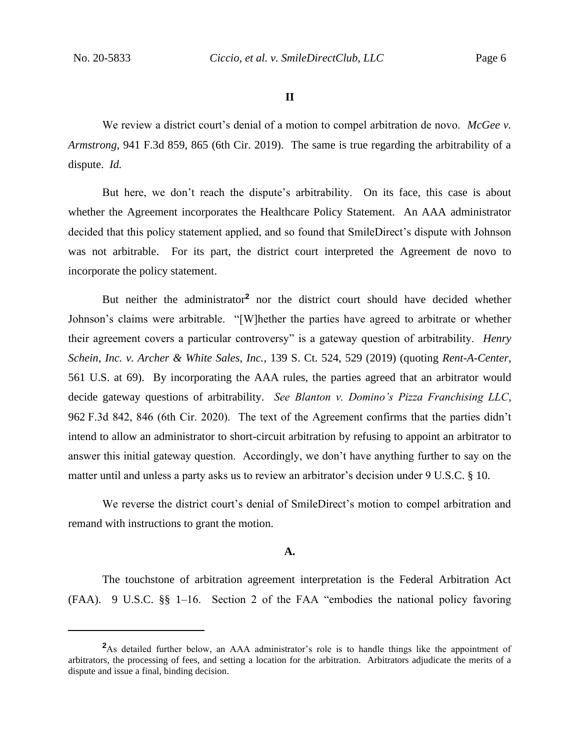**II**

We review a district court's denial of a motion to compel arbitration de novo. *McGee v. Armstrong*, 941 F.3d 859, 865 (6th Cir. 2019). The same is true regarding the arbitrability of a dispute. *Id.*

But here, we don't reach the dispute's arbitrability. On its face, this case is about whether the Agreement incorporates the Healthcare Policy Statement. An AAA administrator decided that this policy statement applied, and so found that SmileDirect's dispute with Johnson was not arbitrable. For its part, the district court interpreted the Agreement de novo to incorporate the policy statement.

But neither the administrator**<sup>2</sup>** nor the district court should have decided whether Johnson's claims were arbitrable. "[W]hether the parties have agreed to arbitrate or whether their agreement covers a particular controversy" is a gateway question of arbitrability. *Henry Schein, Inc. v. Archer & White Sales, Inc.*, 139 S. Ct. 524, 529 (2019) (quoting *Rent-A-Center*, 561 U.S. at 69). By incorporating the AAA rules, the parties agreed that an arbitrator would decide gateway questions of arbitrability. *See Blanton v. Domino's Pizza Franchising LLC*, 962 F.3d 842, 846 (6th Cir. 2020). The text of the Agreement confirms that the parties didn't intend to allow an administrator to short-circuit arbitration by refusing to appoint an arbitrator to answer this initial gateway question. Accordingly, we don't have anything further to say on the matter until and unless a party asks us to review an arbitrator's decision under 9 U.S.C. § 10.

We reverse the district court's denial of SmileDirect's motion to compel arbitration and remand with instructions to grant the motion.

## **A.**

The touchstone of arbitration agreement interpretation is the Federal Arbitration Act (FAA). 9 U.S.C. §§ 1–16. Section 2 of the FAA "embodies the national policy favoring

**<sup>2</sup>**As detailed further below, an AAA administrator's role is to handle things like the appointment of arbitrators, the processing of fees, and setting a location for the arbitration. Arbitrators adjudicate the merits of a dispute and issue a final, binding decision.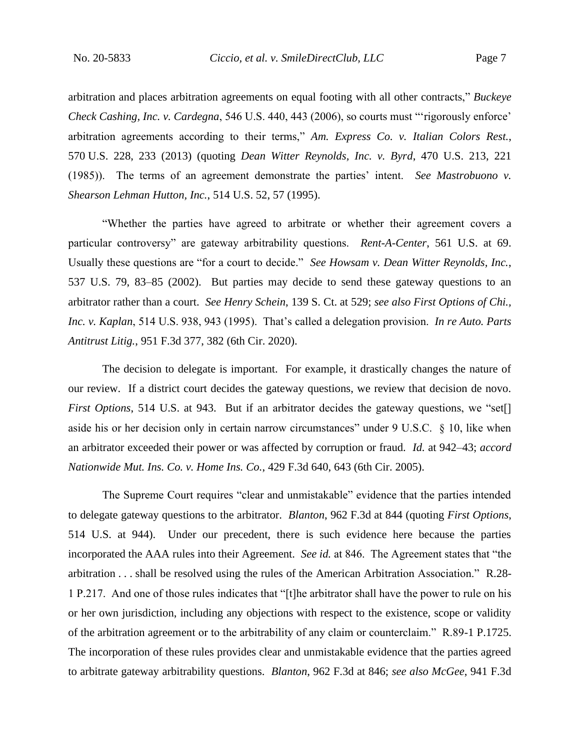arbitration and places arbitration agreements on equal footing with all other contracts," *Buckeye Check Cashing, Inc. v. Cardegna*, 546 U.S. 440, 443 (2006), so courts must "'rigorously enforce' arbitration agreements according to their terms," *Am. Express Co. v. Italian Colors Rest.*, 570 U.S. 228, 233 (2013) (quoting *Dean Witter Reynolds, Inc. v. Byrd*, 470 U.S. 213, 221 (1985)). The terms of an agreement demonstrate the parties' intent. *See Mastrobuono v. Shearson Lehman Hutton, Inc.*, 514 U.S. 52, 57 (1995).

"Whether the parties have agreed to arbitrate or whether their agreement covers a particular controversy" are gateway arbitrability questions. *Rent-A-Center*, 561 U.S. at 69. Usually these questions are "for a court to decide." *See Howsam v. Dean Witter Reynolds, Inc.*, 537 U.S. 79, 83–85 (2002). But parties may decide to send these gateway questions to an arbitrator rather than a court. *See Henry Schein*, 139 S. Ct. at 529; *see also First Options of Chi., Inc. v. Kaplan*, 514 U.S. 938, 943 (1995). That's called a delegation provision. *In re Auto. Parts Antitrust Litig.*, 951 F.3d 377, 382 (6th Cir. 2020).

The decision to delegate is important. For example, it drastically changes the nature of our review. If a district court decides the gateway questions, we review that decision de novo. *First Options*, 514 U.S. at 943. But if an arbitrator decides the gateway questions, we "set[] aside his or her decision only in certain narrow circumstances" under 9 U.S.C. § 10, like when an arbitrator exceeded their power or was affected by corruption or fraud. *Id.* at 942–43; *accord Nationwide Mut. Ins. Co. v. Home Ins. Co.*, 429 F.3d 640, 643 (6th Cir. 2005).

The Supreme Court requires "clear and unmistakable" evidence that the parties intended to delegate gateway questions to the arbitrator. *Blanton*, 962 F.3d at 844 (quoting *First Options*, 514 U.S. at 944). Under our precedent, there is such evidence here because the parties incorporated the AAA rules into their Agreement. *See id.* at 846. The Agreement states that "the arbitration . . . shall be resolved using the rules of the American Arbitration Association." R.28- 1 P.217. And one of those rules indicates that "[t]he arbitrator shall have the power to rule on his or her own jurisdiction, including any objections with respect to the existence, scope or validity of the arbitration agreement or to the arbitrability of any claim or counterclaim." R.89-1 P.1725. The incorporation of these rules provides clear and unmistakable evidence that the parties agreed to arbitrate gateway arbitrability questions. *Blanton*, 962 F.3d at 846; *see also McGee*, 941 F.3d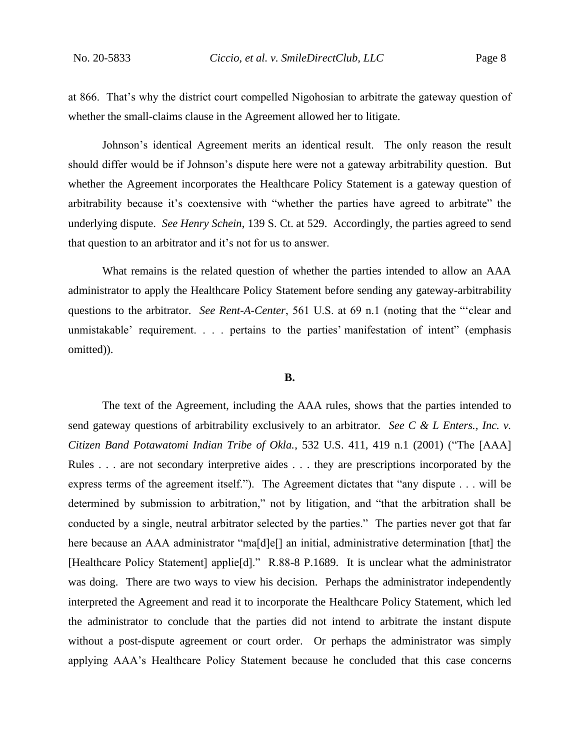at 866. That's why the district court compelled Nigohosian to arbitrate the gateway question of whether the small-claims clause in the Agreement allowed her to litigate.

Johnson's identical Agreement merits an identical result. The only reason the result should differ would be if Johnson's dispute here were not a gateway arbitrability question. But whether the Agreement incorporates the Healthcare Policy Statement is a gateway question of arbitrability because it's coextensive with "whether the parties have agreed to arbitrate" the underlying dispute. *See Henry Schein*, 139 S. Ct. at 529. Accordingly, the parties agreed to send that question to an arbitrator and it's not for us to answer.

What remains is the related question of whether the parties intended to allow an AAA administrator to apply the Healthcare Policy Statement before sending any gateway-arbitrability questions to the arbitrator. *See Rent-A-Center*, 561 U.S. at 69 n.1 (noting that the "'clear and unmistakable' requirement. . . . pertains to the parties' manifestation of intent" (emphasis omitted)).

#### **B.**

The text of the Agreement, including the AAA rules, shows that the parties intended to send gateway questions of arbitrability exclusively to an arbitrator. *See C & L Enters., Inc. v. Citizen Band Potawatomi Indian Tribe of Okla.*, 532 U.S. 411, 419 n.1 (2001) ("The [AAA] Rules . . . are not secondary interpretive aides . . . they are prescriptions incorporated by the express terms of the agreement itself."). The Agreement dictates that "any dispute . . . will be determined by submission to arbitration," not by litigation, and "that the arbitration shall be conducted by a single, neutral arbitrator selected by the parties." The parties never got that far here because an AAA administrator "ma[d]e[] an initial, administrative determination [that] the [Healthcare Policy Statement] applie[d]." R.88-8 P.1689.It is unclear what the administrator was doing. There are two ways to view his decision. Perhaps the administrator independently interpreted the Agreement and read it to incorporate the Healthcare Policy Statement, which led the administrator to conclude that the parties did not intend to arbitrate the instant dispute without a post-dispute agreement or court order. Or perhaps the administrator was simply applying AAA's Healthcare Policy Statement because he concluded that this case concerns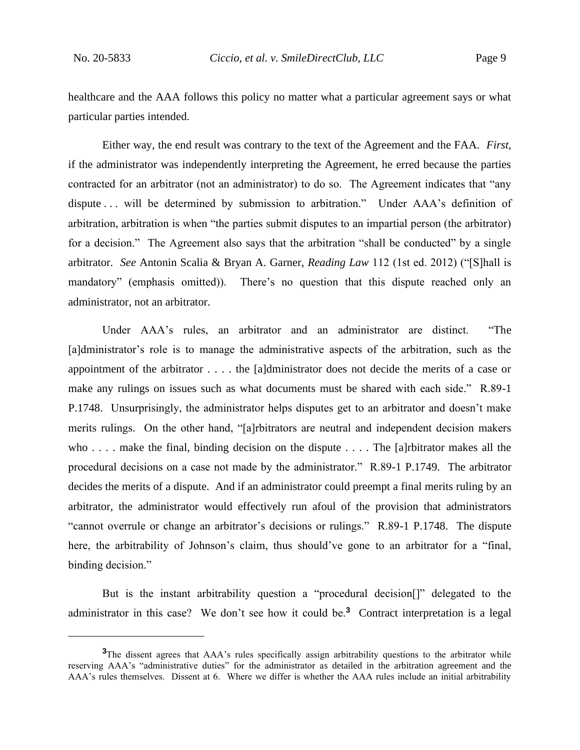healthcare and the AAA follows this policy no matter what a particular agreement says or what particular parties intended.

Either way, the end result was contrary to the text of the Agreement and the FAA. *First*, if the administrator was independently interpreting the Agreement, he erred because the parties contracted for an arbitrator (not an administrator) to do so. The Agreement indicates that "any dispute . . . will be determined by submission to arbitration." Under AAA's definition of arbitration, arbitration is when "the parties submit disputes to an impartial person (the arbitrator) for a decision." The Agreement also says that the arbitration "shall be conducted" by a single arbitrator. *See* Antonin Scalia & Bryan A. Garner, *Reading Law* 112 (1st ed. 2012) ("[S]hall is mandatory" (emphasis omitted)). There's no question that this dispute reached only an administrator, not an arbitrator.

Under AAA's rules, an arbitrator and an administrator are distinct. "The [a]dministrator's role is to manage the administrative aspects of the arbitration, such as the appointment of the arbitrator . . . . the [a]dministrator does not decide the merits of a case or make any rulings on issues such as what documents must be shared with each side." R.89-1 P.1748.Unsurprisingly, the administrator helps disputes get to an arbitrator and doesn't make merits rulings. On the other hand, "[a]rbitrators are neutral and independent decision makers who . . . . make the final, binding decision on the dispute . . . . The [a]rbitrator makes all the procedural decisions on a case not made by the administrator." R.89-1 P.1749.The arbitrator decides the merits of a dispute. And if an administrator could preempt a final merits ruling by an arbitrator, the administrator would effectively run afoul of the provision that administrators "cannot overrule or change an arbitrator's decisions or rulings." R.89-1 P.1748.The dispute here, the arbitrability of Johnson's claim, thus should've gone to an arbitrator for a "final, binding decision."

But is the instant arbitrability question a "procedural decision[]" delegated to the administrator in this case? We don't see how it could be.**<sup>3</sup>** Contract interpretation is a legal

**<sup>3</sup>**The dissent agrees that AAA's rules specifically assign arbitrability questions to the arbitrator while reserving AAA's "administrative duties" for the administrator as detailed in the arbitration agreement and the AAA's rules themselves. Dissent at 6. Where we differ is whether the AAA rules include an initial arbitrability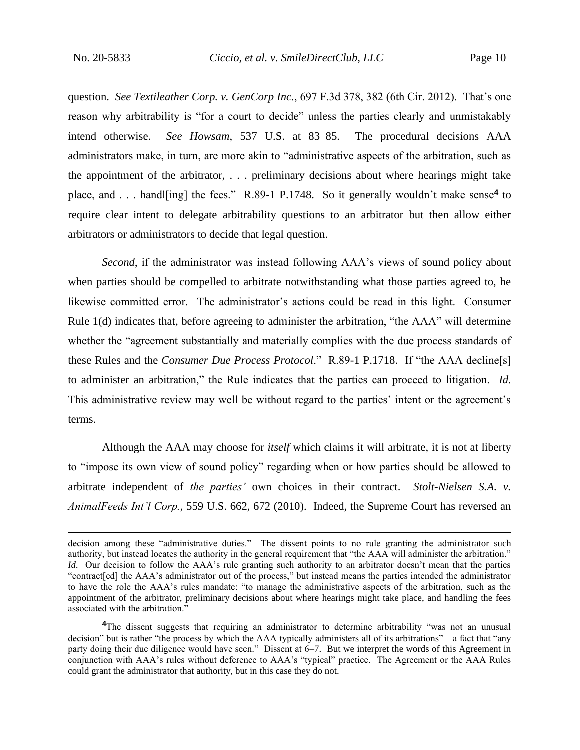question. *See Textileather Corp. v. GenCorp Inc.*, 697 F.3d 378, 382 (6th Cir. 2012). That's one reason why arbitrability is "for a court to decide" unless the parties clearly and unmistakably intend otherwise. *See Howsam*, 537 U.S. at 83–85. The procedural decisions AAA administrators make, in turn, are more akin to "administrative aspects of the arbitration, such as the appointment of the arbitrator, . . . preliminary decisions about where hearings might take place, and . . . handl[ing] the fees." R.89-1 P.1748. So it generally wouldn't make sense**<sup>4</sup>** to require clear intent to delegate arbitrability questions to an arbitrator but then allow either arbitrators or administrators to decide that legal question.

*Second*, if the administrator was instead following AAA's views of sound policy about when parties should be compelled to arbitrate notwithstanding what those parties agreed to, he likewise committed error. The administrator's actions could be read in this light. Consumer Rule 1(d) indicates that, before agreeing to administer the arbitration, "the AAA" will determine whether the "agreement substantially and materially complies with the due process standards of these Rules and the *Consumer Due Process Protocol*." R.89-1 P.1718.If "the AAA decline[s] to administer an arbitration," the Rule indicates that the parties can proceed to litigation. *Id.* This administrative review may well be without regard to the parties' intent or the agreement's terms.

Although the AAA may choose for *itself* which claims it will arbitrate, it is not at liberty to "impose its own view of sound policy" regarding when or how parties should be allowed to arbitrate independent of *the parties'* own choices in their contract. *Stolt-Nielsen S.A. v. AnimalFeeds Int'l Corp.*, 559 U.S. 662, 672 (2010). Indeed, the Supreme Court has reversed an

decision among these "administrative duties." The dissent points to no rule granting the administrator such authority, but instead locates the authority in the general requirement that "the AAA will administer the arbitration." *Id.* Our decision to follow the AAA's rule granting such authority to an arbitrator doesn't mean that the parties "contract[ed] the AAA's administrator out of the process," but instead means the parties intended the administrator to have the role the AAA's rules mandate: "to manage the administrative aspects of the arbitration, such as the appointment of the arbitrator, preliminary decisions about where hearings might take place, and handling the fees associated with the arbitration."

**<sup>4</sup>**The dissent suggests that requiring an administrator to determine arbitrability "was not an unusual decision" but is rather "the process by which the AAA typically administers all of its arbitrations"—a fact that "any party doing their due diligence would have seen." Dissent at 6–7. But we interpret the words of this Agreement in conjunction with AAA's rules without deference to AAA's "typical" practice. The Agreement or the AAA Rules could grant the administrator that authority, but in this case they do not.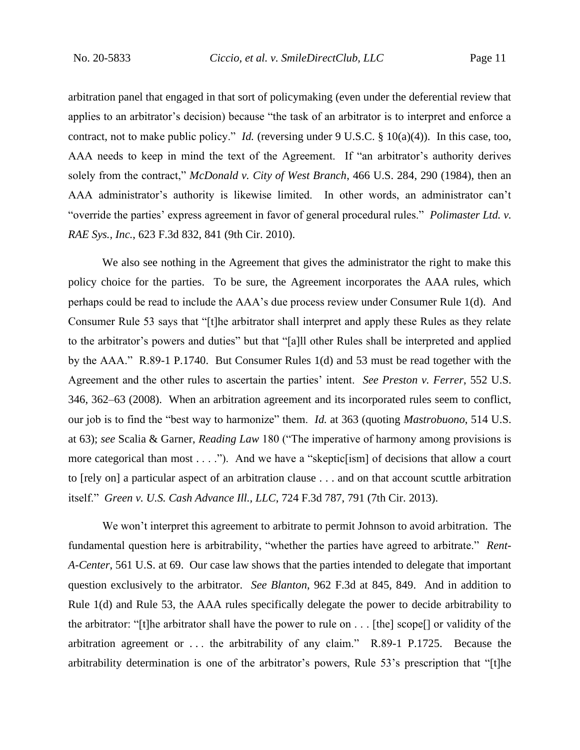arbitration panel that engaged in that sort of policymaking (even under the deferential review that applies to an arbitrator's decision) because "the task of an arbitrator is to interpret and enforce a contract, not to make public policy." *Id.* (reversing under 9 U.S.C. § 10(a)(4)). In this case, too, AAA needs to keep in mind the text of the Agreement. If "an arbitrator's authority derives solely from the contract," *McDonald v. City of West Branch*, 466 U.S. 284, 290 (1984), then an AAA administrator's authority is likewise limited. In other words, an administrator can't "override the parties' express agreement in favor of general procedural rules." *Polimaster Ltd. v. RAE Sys., Inc.*, 623 F.3d 832, 841 (9th Cir. 2010).

We also see nothing in the Agreement that gives the administrator the right to make this policy choice for the parties. To be sure, the Agreement incorporates the AAA rules, which perhaps could be read to include the AAA's due process review under Consumer Rule 1(d). And Consumer Rule 53 says that "[t]he arbitrator shall interpret and apply these Rules as they relate to the arbitrator's powers and duties" but that "[a]ll other Rules shall be interpreted and applied by the AAA." R.89-1 P.1740. But Consumer Rules 1(d) and 53 must be read together with the Agreement and the other rules to ascertain the parties' intent. *See Preston v. Ferrer*, 552 U.S. 346, 362–63 (2008). When an arbitration agreement and its incorporated rules seem to conflict, our job is to find the "best way to harmonize" them. *Id.* at 363 (quoting *Mastrobuono*, 514 U.S. at 63); *see* Scalia & Garner, *Reading Law* 180 ("The imperative of harmony among provisions is more categorical than most . . . ."). And we have a "skeptic[ism] of decisions that allow a court to [rely on] a particular aspect of an arbitration clause . . . and on that account scuttle arbitration itself." *Green v. U.S. Cash Advance Ill., LLC*, 724 F.3d 787, 791 (7th Cir. 2013).

We won't interpret this agreement to arbitrate to permit Johnson to avoid arbitration. The fundamental question here is arbitrability, "whether the parties have agreed to arbitrate." *Rent-A-Center*, 561 U.S. at 69. Our case law shows that the parties intended to delegate that important question exclusively to the arbitrator. *See Blanton*, 962 F.3d at 845, 849. And in addition to Rule 1(d) and Rule 53, the AAA rules specifically delegate the power to decide arbitrability to the arbitrator: "[t]he arbitrator shall have the power to rule on . . . [the] scope[] or validity of the arbitration agreement or . . . the arbitrability of any claim." R.89-1 P.1725.Because the arbitrability determination is one of the arbitrator's powers, Rule 53's prescription that "[t]he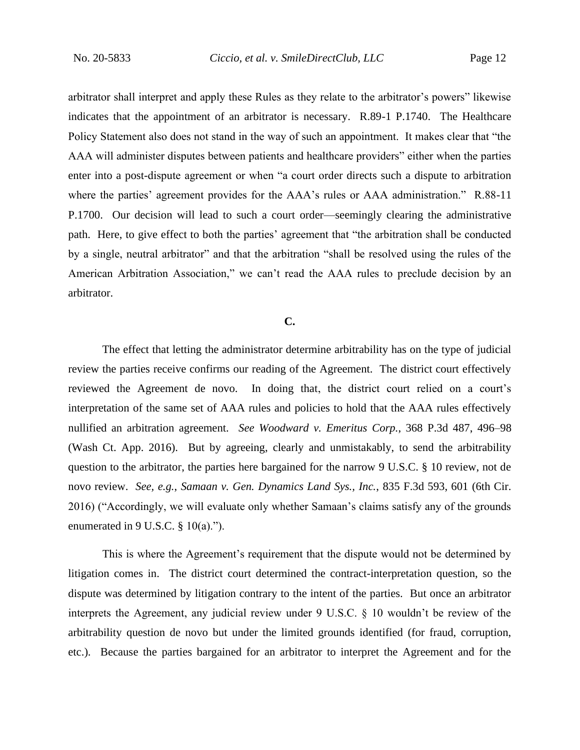arbitrator shall interpret and apply these Rules as they relate to the arbitrator's powers" likewise indicates that the appointment of an arbitrator is necessary. R.89-1 P.1740.The Healthcare Policy Statement also does not stand in the way of such an appointment. It makes clear that "the AAA will administer disputes between patients and healthcare providers" either when the parties enter into a post-dispute agreement or when "a court order directs such a dispute to arbitration where the parties' agreement provides for the AAA's rules or AAA administration." R.88-11 P.1700. Our decision will lead to such a court order—seemingly clearing the administrative path. Here, to give effect to both the parties' agreement that "the arbitration shall be conducted by a single, neutral arbitrator" and that the arbitration "shall be resolved using the rules of the American Arbitration Association," we can't read the AAA rules to preclude decision by an arbitrator.

### **C.**

The effect that letting the administrator determine arbitrability has on the type of judicial review the parties receive confirms our reading of the Agreement. The district court effectively reviewed the Agreement de novo. In doing that, the district court relied on a court's interpretation of the same set of AAA rules and policies to hold that the AAA rules effectively nullified an arbitration agreement. *See Woodward v. Emeritus Corp.*, 368 P.3d 487, 496–98 (Wash Ct. App. 2016). But by agreeing, clearly and unmistakably, to send the arbitrability question to the arbitrator, the parties here bargained for the narrow 9 U.S.C. § 10 review, not de novo review. *See, e.g.*, *Samaan v. Gen. Dynamics Land Sys., Inc.*, 835 F.3d 593, 601 (6th Cir. 2016) ("Accordingly, we will evaluate only whether Samaan's claims satisfy any of the grounds enumerated in 9 U.S.C.  $\S$  10(a).").

This is where the Agreement's requirement that the dispute would not be determined by litigation comes in. The district court determined the contract-interpretation question, so the dispute was determined by litigation contrary to the intent of the parties. But once an arbitrator interprets the Agreement, any judicial review under 9 U.S.C. § 10 wouldn't be review of the arbitrability question de novo but under the limited grounds identified (for fraud, corruption, etc.). Because the parties bargained for an arbitrator to interpret the Agreement and for the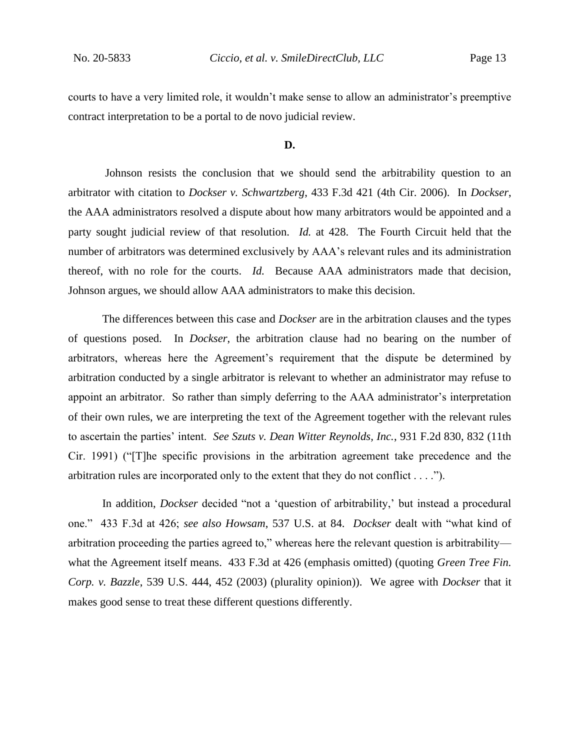courts to have a very limited role, it wouldn't make sense to allow an administrator's preemptive contract interpretation to be a portal to de novo judicial review.

#### **D.**

Johnson resists the conclusion that we should send the arbitrability question to an arbitrator with citation to *Dockser v. Schwartzberg*, 433 F.3d 421 (4th Cir. 2006). In *Dockser*, the AAA administrators resolved a dispute about how many arbitrators would be appointed and a party sought judicial review of that resolution. *Id.* at 428. The Fourth Circuit held that the number of arbitrators was determined exclusively by AAA's relevant rules and its administration thereof, with no role for the courts. *Id.* Because AAA administrators made that decision, Johnson argues, we should allow AAA administrators to make this decision.

The differences between this case and *Dockser* are in the arbitration clauses and the types of questions posed. In *Dockser*, the arbitration clause had no bearing on the number of arbitrators, whereas here the Agreement's requirement that the dispute be determined by arbitration conducted by a single arbitrator is relevant to whether an administrator may refuse to appoint an arbitrator. So rather than simply deferring to the AAA administrator's interpretation of their own rules, we are interpreting the text of the Agreement together with the relevant rules to ascertain the parties' intent. *See Szuts v. Dean Witter Reynolds, Inc.*, 931 F.2d 830, 832 (11th Cir. 1991) ("[T]he specific provisions in the arbitration agreement take precedence and the arbitration rules are incorporated only to the extent that they do not conflict . . . .").

In addition, *Dockser* decided "not a 'question of arbitrability,' but instead a procedural one." 433 F.3d at 426; *see also Howsam*, 537 U.S. at 84. *Dockser* dealt with "what kind of arbitration proceeding the parties agreed to," whereas here the relevant question is arbitrability what the Agreement itself means. 433 F.3d at 426 (emphasis omitted) (quoting *Green Tree Fin. Corp. v. Bazzle*, 539 U.S. 444, 452 (2003) (plurality opinion)). We agree with *Dockser* that it makes good sense to treat these different questions differently.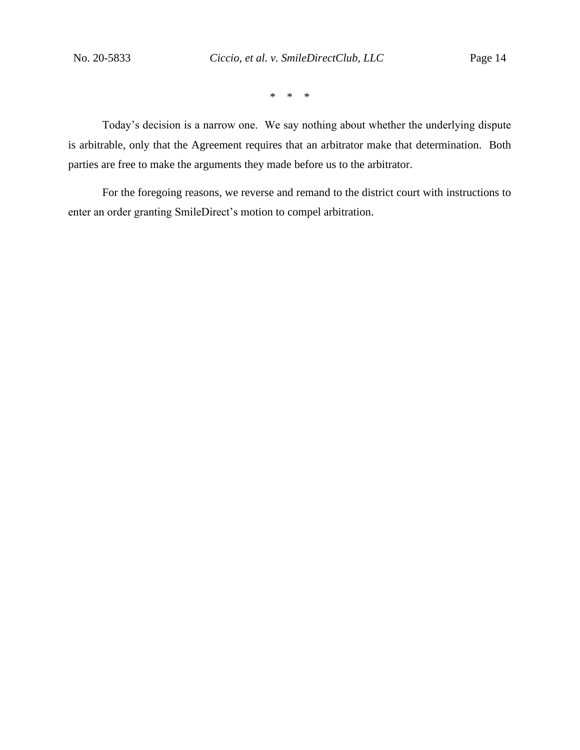\* \* \*

Today's decision is a narrow one. We say nothing about whether the underlying dispute is arbitrable, only that the Agreement requires that an arbitrator make that determination. Both parties are free to make the arguments they made before us to the arbitrator.

For the foregoing reasons, we reverse and remand to the district court with instructions to enter an order granting SmileDirect's motion to compel arbitration.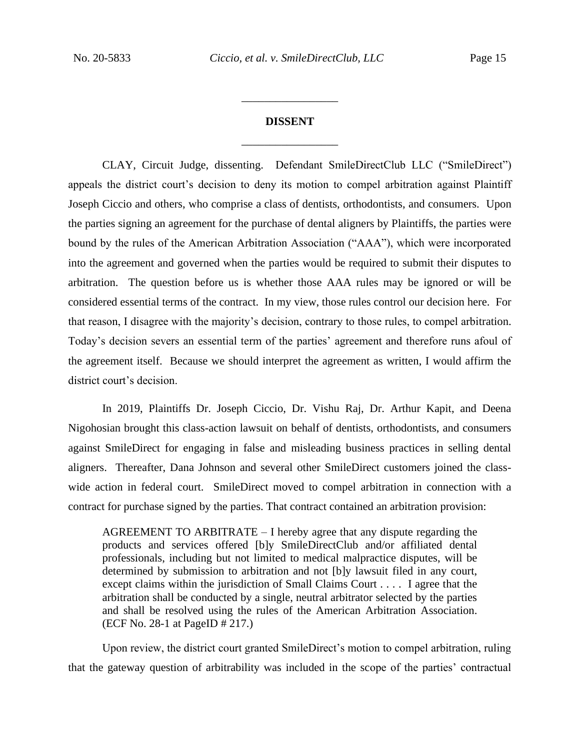# **DISSENT** \_\_\_\_\_\_\_\_\_\_\_\_\_\_\_\_\_

\_\_\_\_\_\_\_\_\_\_\_\_\_\_\_\_\_

CLAY, Circuit Judge, dissenting. Defendant SmileDirectClub LLC ("SmileDirect") appeals the district court's decision to deny its motion to compel arbitration against Plaintiff Joseph Ciccio and others, who comprise a class of dentists, orthodontists, and consumers. Upon the parties signing an agreement for the purchase of dental aligners by Plaintiffs, the parties were bound by the rules of the American Arbitration Association ("AAA"), which were incorporated into the agreement and governed when the parties would be required to submit their disputes to arbitration. The question before us is whether those AAA rules may be ignored or will be considered essential terms of the contract. In my view, those rules control our decision here. For that reason, I disagree with the majority's decision, contrary to those rules, to compel arbitration. Today's decision severs an essential term of the parties' agreement and therefore runs afoul of the agreement itself. Because we should interpret the agreement as written, I would affirm the district court's decision.

In 2019, Plaintiffs Dr. Joseph Ciccio, Dr. Vishu Raj, Dr. Arthur Kapit, and Deena Nigohosian brought this class-action lawsuit on behalf of dentists, orthodontists, and consumers against SmileDirect for engaging in false and misleading business practices in selling dental aligners. Thereafter, Dana Johnson and several other SmileDirect customers joined the classwide action in federal court. SmileDirect moved to compel arbitration in connection with a contract for purchase signed by the parties. That contract contained an arbitration provision:

AGREEMENT TO ARBITRATE – I hereby agree that any dispute regarding the products and services offered [b]y SmileDirectClub and/or affiliated dental professionals, including but not limited to medical malpractice disputes, will be determined by submission to arbitration and not [b]y lawsuit filed in any court, except claims within the jurisdiction of Small Claims Court . . . . I agree that the arbitration shall be conducted by a single, neutral arbitrator selected by the parties and shall be resolved using the rules of the American Arbitration Association. (ECF No. 28-1 at PageID # 217.)

Upon review, the district court granted SmileDirect's motion to compel arbitration, ruling that the gateway question of arbitrability was included in the scope of the parties' contractual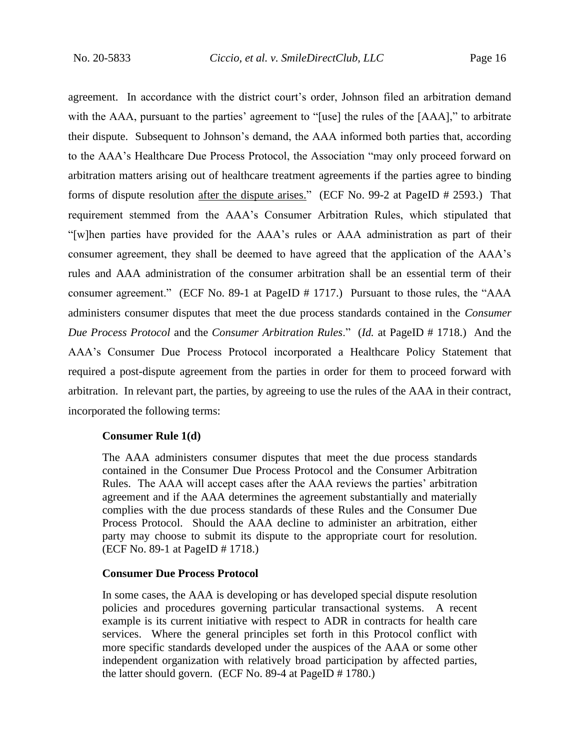agreement. In accordance with the district court's order, Johnson filed an arbitration demand with the AAA, pursuant to the parties' agreement to "[use] the rules of the [AAA]," to arbitrate their dispute. Subsequent to Johnson's demand, the AAA informed both parties that, according to the AAA's Healthcare Due Process Protocol, the Association "may only proceed forward on arbitration matters arising out of healthcare treatment agreements if the parties agree to binding forms of dispute resolution after the dispute arises." (ECF No. 99-2 at PageID # 2593.) That requirement stemmed from the AAA's Consumer Arbitration Rules, which stipulated that "[w]hen parties have provided for the AAA's rules or AAA administration as part of their consumer agreement, they shall be deemed to have agreed that the application of the AAA's rules and AAA administration of the consumer arbitration shall be an essential term of their consumer agreement." (ECF No. 89-1 at PageID # 1717.) Pursuant to those rules, the "AAA administers consumer disputes that meet the due process standards contained in the *Consumer Due Process Protocol* and the *Consumer Arbitration Rules*." (*Id.* at PageID # 1718.) And the AAA's Consumer Due Process Protocol incorporated a Healthcare Policy Statement that required a post-dispute agreement from the parties in order for them to proceed forward with arbitration. In relevant part, the parties, by agreeing to use the rules of the AAA in their contract, incorporated the following terms:

#### **Consumer Rule 1(d)**

The AAA administers consumer disputes that meet the due process standards contained in the Consumer Due Process Protocol and the Consumer Arbitration Rules. The AAA will accept cases after the AAA reviews the parties' arbitration agreement and if the AAA determines the agreement substantially and materially complies with the due process standards of these Rules and the Consumer Due Process Protocol. Should the AAA decline to administer an arbitration, either party may choose to submit its dispute to the appropriate court for resolution. (ECF No. 89-1 at PageID # 1718.)

### **Consumer Due Process Protocol**

In some cases, the AAA is developing or has developed special dispute resolution policies and procedures governing particular transactional systems. A recent example is its current initiative with respect to ADR in contracts for health care services. Where the general principles set forth in this Protocol conflict with more specific standards developed under the auspices of the AAA or some other independent organization with relatively broad participation by affected parties, the latter should govern. (ECF No. 89-4 at PageID # 1780.)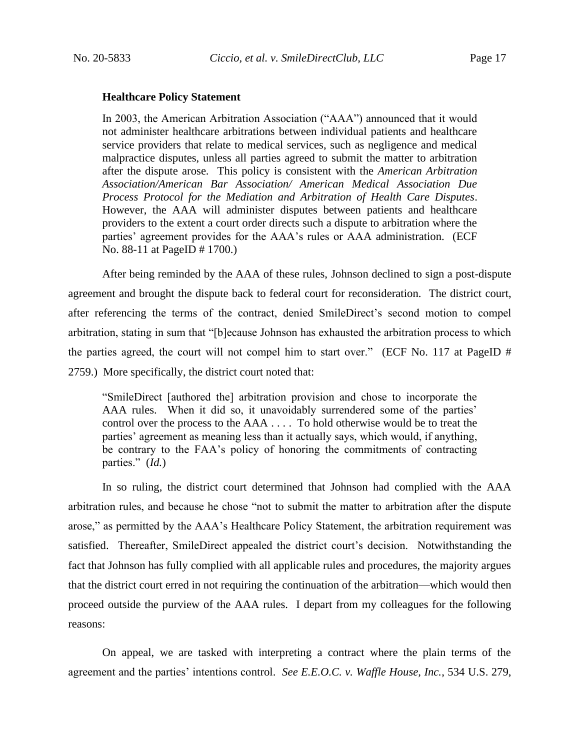#### **Healthcare Policy Statement**

In 2003, the American Arbitration Association ("AAA") announced that it would not administer healthcare arbitrations between individual patients and healthcare service providers that relate to medical services, such as negligence and medical malpractice disputes, unless all parties agreed to submit the matter to arbitration after the dispute arose. This policy is consistent with the *American Arbitration Association/American Bar Association/ American Medical Association Due Process Protocol for the Mediation and Arbitration of Health Care Disputes*. However, the AAA will administer disputes between patients and healthcare providers to the extent a court order directs such a dispute to arbitration where the parties' agreement provides for the AAA's rules or AAA administration. (ECF No. 88-11 at PageID # 1700.)

After being reminded by the AAA of these rules, Johnson declined to sign a post-dispute agreement and brought the dispute back to federal court for reconsideration. The district court, after referencing the terms of the contract, denied SmileDirect's second motion to compel arbitration, stating in sum that "[b]ecause Johnson has exhausted the arbitration process to which the parties agreed, the court will not compel him to start over." (ECF No. 117 at PageID # 2759.) More specifically, the district court noted that:

"SmileDirect [authored the] arbitration provision and chose to incorporate the AAA rules. When it did so, it unavoidably surrendered some of the parties' control over the process to the AAA . . . . To hold otherwise would be to treat the parties' agreement as meaning less than it actually says, which would, if anything, be contrary to the FAA's policy of honoring the commitments of contracting parties." (*Id.*)

In so ruling, the district court determined that Johnson had complied with the AAA arbitration rules, and because he chose "not to submit the matter to arbitration after the dispute arose," as permitted by the AAA's Healthcare Policy Statement, the arbitration requirement was satisfied. Thereafter, SmileDirect appealed the district court's decision. Notwithstanding the fact that Johnson has fully complied with all applicable rules and procedures, the majority argues that the district court erred in not requiring the continuation of the arbitration—which would then proceed outside the purview of the AAA rules. I depart from my colleagues for the following reasons:

On appeal, we are tasked with interpreting a contract where the plain terms of the agreement and the parties' intentions control. *See E.E.O.C. v. Waffle House, Inc.*, 534 U.S. 279,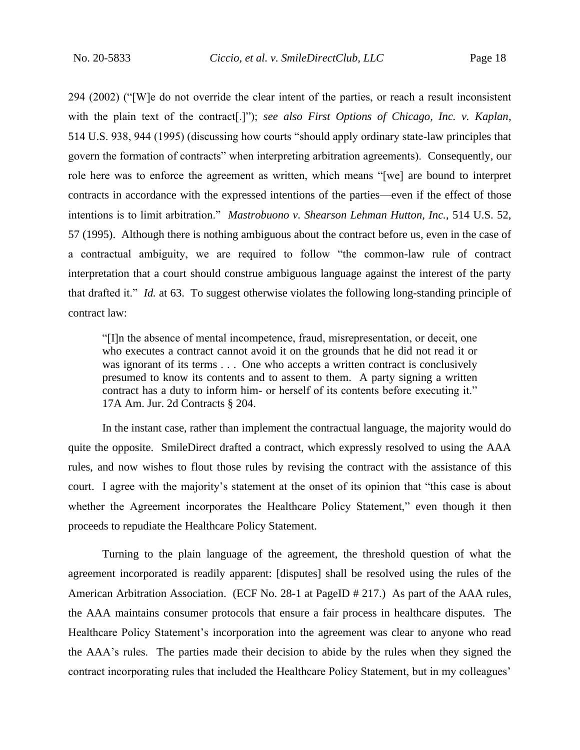294 (2002) ("[W]e do not override the clear intent of the parties, or reach a result inconsistent with the plain text of the contract<sup>[1]</sup>"); *see also First Options of Chicago, Inc. v. Kaplan*, 514 U.S. 938, 944 (1995) (discussing how courts "should apply ordinary state-law principles that govern the formation of contracts" when interpreting arbitration agreements). Consequently, our role here was to enforce the agreement as written, which means "[we] are bound to interpret contracts in accordance with the expressed intentions of the parties—even if the effect of those intentions is to limit arbitration." *Mastrobuono v. Shearson Lehman Hutton, Inc.*, 514 U.S. 52, 57 (1995). Although there is nothing ambiguous about the contract before us, even in the case of a contractual ambiguity, we are required to follow "the common-law rule of contract interpretation that a court should construe ambiguous language against the interest of the party that drafted it." *Id.* at 63. To suggest otherwise violates the following long-standing principle of contract law:

"[I]n the absence of mental incompetence, fraud, misrepresentation, or deceit, one who executes a contract cannot avoid it on the grounds that he did not read it or was ignorant of its terms . . . One who accepts a written contract is conclusively presumed to know its contents and to assent to them. A party signing a written contract has a duty to inform him- or herself of its contents before executing it." 17A Am. Jur. 2d Contracts § 204.

In the instant case, rather than implement the contractual language, the majority would do quite the opposite. SmileDirect drafted a contract, which expressly resolved to using the AAA rules, and now wishes to flout those rules by revising the contract with the assistance of this court. I agree with the majority's statement at the onset of its opinion that "this case is about whether the Agreement incorporates the Healthcare Policy Statement," even though it then proceeds to repudiate the Healthcare Policy Statement.

Turning to the plain language of the agreement, the threshold question of what the agreement incorporated is readily apparent: [disputes] shall be resolved using the rules of the American Arbitration Association. (ECF No. 28-1 at PageID # 217.) As part of the AAA rules, the AAA maintains consumer protocols that ensure a fair process in healthcare disputes. The Healthcare Policy Statement's incorporation into the agreement was clear to anyone who read the AAA's rules. The parties made their decision to abide by the rules when they signed the contract incorporating rules that included the Healthcare Policy Statement, but in my colleagues'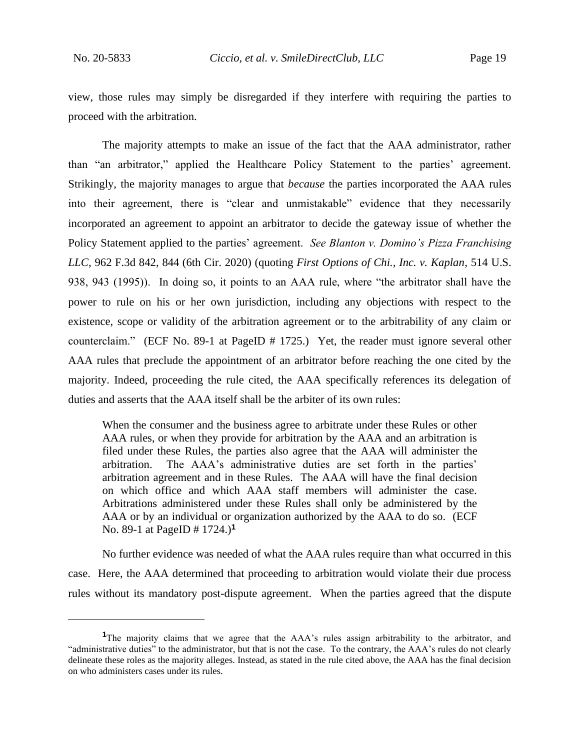view, those rules may simply be disregarded if they interfere with requiring the parties to proceed with the arbitration.

The majority attempts to make an issue of the fact that the AAA administrator, rather than "an arbitrator," applied the Healthcare Policy Statement to the parties' agreement. Strikingly, the majority manages to argue that *because* the parties incorporated the AAA rules into their agreement, there is "clear and unmistakable" evidence that they necessarily incorporated an agreement to appoint an arbitrator to decide the gateway issue of whether the Policy Statement applied to the parties' agreement. *See Blanton v. Domino's Pizza Franchising LLC*, 962 F.3d 842, 844 (6th Cir. 2020) (quoting *First Options of Chi., Inc. v. Kaplan*, 514 U.S. 938, 943 (1995)). In doing so, it points to an AAA rule, where "the arbitrator shall have the power to rule on his or her own jurisdiction, including any objections with respect to the existence, scope or validity of the arbitration agreement or to the arbitrability of any claim or counterclaim." (ECF No. 89-1 at PageID # 1725.) Yet, the reader must ignore several other AAA rules that preclude the appointment of an arbitrator before reaching the one cited by the majority. Indeed, proceeding the rule cited, the AAA specifically references its delegation of duties and asserts that the AAA itself shall be the arbiter of its own rules:

When the consumer and the business agree to arbitrate under these Rules or other AAA rules, or when they provide for arbitration by the AAA and an arbitration is filed under these Rules, the parties also agree that the AAA will administer the arbitration. The AAA's administrative duties are set forth in the parties' arbitration agreement and in these Rules. The AAA will have the final decision on which office and which AAA staff members will administer the case. Arbitrations administered under these Rules shall only be administered by the AAA or by an individual or organization authorized by the AAA to do so. (ECF No. 89-1 at PageID # 1724.)**<sup>1</sup>**

No further evidence was needed of what the AAA rules require than what occurred in this case. Here, the AAA determined that proceeding to arbitration would violate their due process rules without its mandatory post-dispute agreement. When the parties agreed that the dispute

**<sup>1</sup>**The majority claims that we agree that the AAA's rules assign arbitrability to the arbitrator, and "administrative duties" to the administrator, but that is not the case. To the contrary, the AAA's rules do not clearly delineate these roles as the majority alleges. Instead, as stated in the rule cited above, the AAA has the final decision on who administers cases under its rules.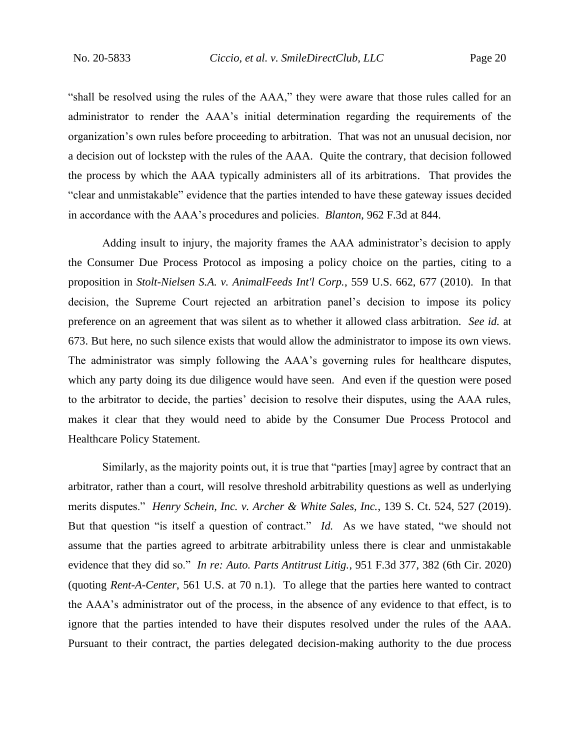"shall be resolved using the rules of the AAA," they were aware that those rules called for an administrator to render the AAA's initial determination regarding the requirements of the organization's own rules before proceeding to arbitration. That was not an unusual decision, nor a decision out of lockstep with the rules of the AAA. Quite the contrary, that decision followed the process by which the AAA typically administers all of its arbitrations. That provides the "clear and unmistakable" evidence that the parties intended to have these gateway issues decided in accordance with the AAA's procedures and policies. *Blanton*, 962 F.3d at 844.

Adding insult to injury, the majority frames the AAA administrator's decision to apply the Consumer Due Process Protocol as imposing a policy choice on the parties, citing to a proposition in *Stolt-Nielsen S.A. v. AnimalFeeds Int'l Corp.*, 559 U.S. 662, 677 (2010). In that decision, the Supreme Court rejected an arbitration panel's decision to impose its policy preference on an agreement that was silent as to whether it allowed class arbitration. *See id.* at 673. But here, no such silence exists that would allow the administrator to impose its own views. The administrator was simply following the AAA's governing rules for healthcare disputes, which any party doing its due diligence would have seen. And even if the question were posed to the arbitrator to decide, the parties' decision to resolve their disputes, using the AAA rules, makes it clear that they would need to abide by the Consumer Due Process Protocol and Healthcare Policy Statement.

Similarly, as the majority points out, it is true that "parties [may] agree by contract that an arbitrator, rather than a court, will resolve threshold arbitrability questions as well as underlying merits disputes." *Henry Schein, Inc. v. Archer & White Sales, Inc.*, 139 S. Ct. 524, 527 (2019). But that question "is itself a question of contract." *Id.* As we have stated, "we should not assume that the parties agreed to arbitrate arbitrability unless there is clear and unmistakable evidence that they did so." *In re: Auto. Parts Antitrust Litig.*, 951 F.3d 377, 382 (6th Cir. 2020) (quoting *Rent-A-Center*, 561 U.S. at 70 n.1). To allege that the parties here wanted to contract the AAA's administrator out of the process, in the absence of any evidence to that effect, is to ignore that the parties intended to have their disputes resolved under the rules of the AAA. Pursuant to their contract, the parties delegated decision-making authority to the due process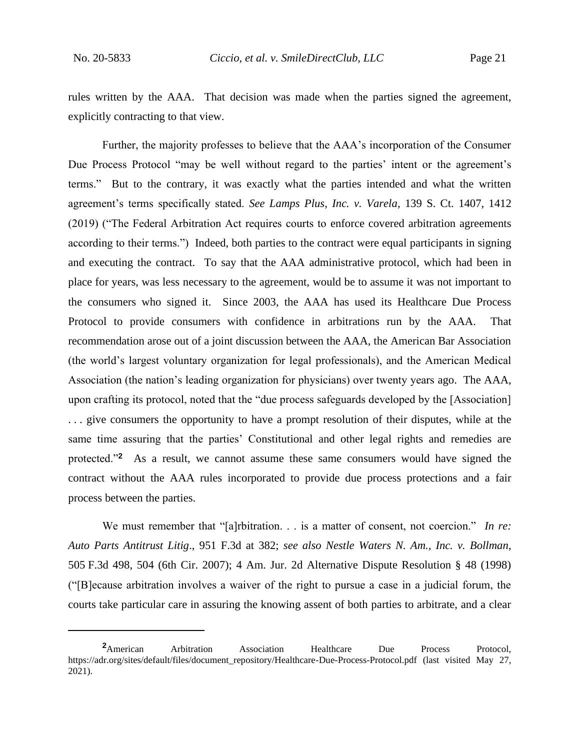rules written by the AAA. That decision was made when the parties signed the agreement, explicitly contracting to that view.

Further, the majority professes to believe that the AAA's incorporation of the Consumer Due Process Protocol "may be well without regard to the parties' intent or the agreement's terms." But to the contrary, it was exactly what the parties intended and what the written agreement's terms specifically stated. *See Lamps Plus, Inc. v. Varela*, 139 S. Ct. 1407, 1412 (2019) ("The Federal Arbitration Act requires courts to enforce covered arbitration agreements according to their terms.") Indeed, both parties to the contract were equal participants in signing and executing the contract. To say that the AAA administrative protocol, which had been in place for years, was less necessary to the agreement, would be to assume it was not important to the consumers who signed it. Since 2003, the AAA has used its Healthcare Due Process Protocol to provide consumers with confidence in arbitrations run by the AAA. That recommendation arose out of a joint discussion between the AAA, the American Bar Association (the world's largest voluntary organization for legal professionals), and the American Medical Association (the nation's leading organization for physicians) over twenty years ago. The AAA, upon crafting its protocol, noted that the "due process safeguards developed by the [Association] . . . give consumers the opportunity to have a prompt resolution of their disputes, while at the same time assuring that the parties' Constitutional and other legal rights and remedies are protected."**<sup>2</sup>** As a result, we cannot assume these same consumers would have signed the contract without the AAA rules incorporated to provide due process protections and a fair process between the parties.

We must remember that "[a]rbitration. . . is a matter of consent, not coercion." *In re: Auto Parts Antitrust Litig*., 951 F.3d at 382; *see also Nestle Waters N. Am., Inc. v. Bollman*, 505 F.3d 498, 504 (6th Cir. 2007); 4 Am. Jur. 2d Alternative Dispute Resolution § 48 (1998) ("[B]ecause arbitration involves a waiver of the right to pursue a case in a judicial forum, the courts take particular care in assuring the knowing assent of both parties to arbitrate, and a clear

**<sup>2</sup>**American Arbitration Association Healthcare Due Process Protocol, https://adr.org/sites/default/files/document\_repository/Healthcare-Due-Process-Protocol.pdf (last visited May 27, 2021).